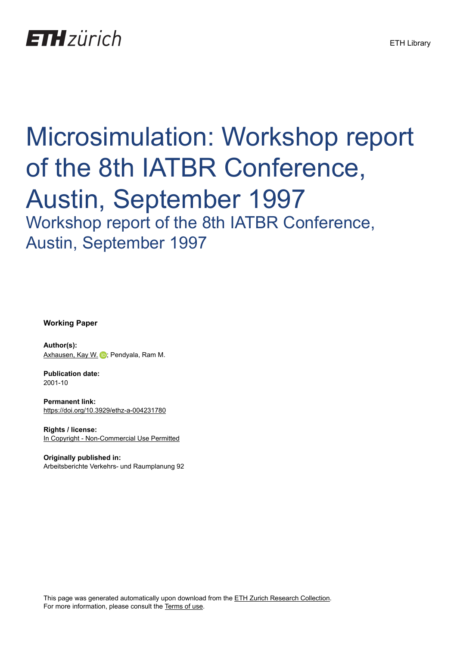# Microsimulation: Workshop report of the 8th IATBR Conference, Austin, September 1997 Workshop report of the 8th IATBR Conference, Austin, September 1997

#### **Working Paper**

**Author(s):** [Axhausen, Kay W.](https://orcid.org/0000-0003-3331-1318) D; Pendyala, Ram M.

**Publication date:** 2001-10

**Permanent link:** <https://doi.org/10.3929/ethz-a-004231780>

**Rights / license:** [In Copyright - Non-Commercial Use Permitted](http://rightsstatements.org/page/InC-NC/1.0/)

**Originally published in:** Arbeitsberichte Verkehrs- und Raumplanung 92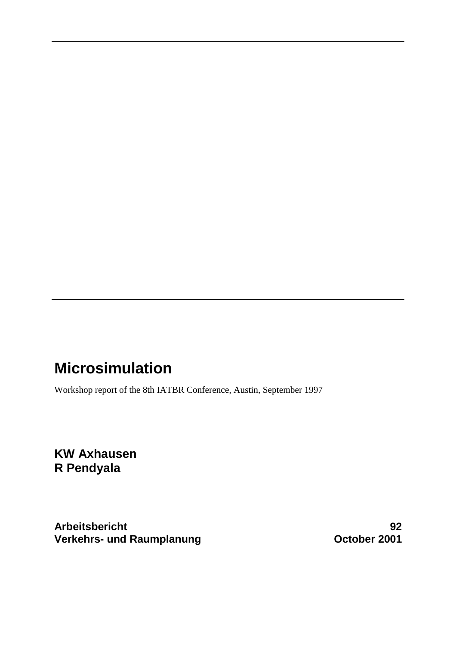# **Microsimulation**

Workshop report of the 8th IATBR Conference, Austin, September 1997

**KW Axhausen R Pendyala**

**Arbeitsbericht 92 Verkehrs- und Raumplanung**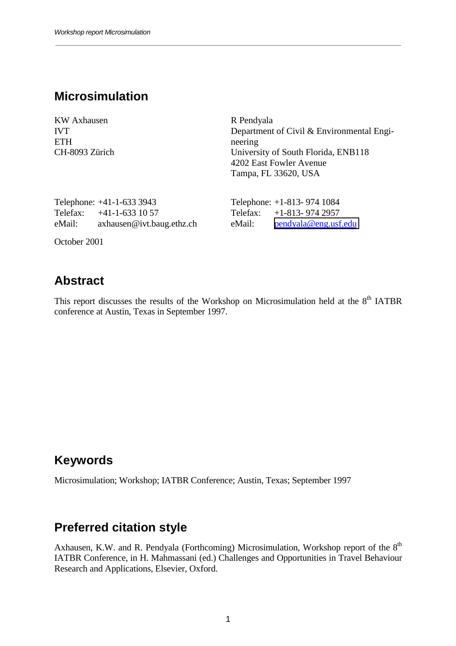## **Microsimulation**

| Department of Civil & Environmental Engi-<br>IVT.                     |  |
|-----------------------------------------------------------------------|--|
|                                                                       |  |
| <b>ETH</b><br>neering                                                 |  |
| CH-8093 Zürich<br>University of South Florida, ENB118                 |  |
| 4202 East Fowler Avenue                                               |  |
| Tampa, FL 33620, USA                                                  |  |
| Telephone: +41-1-633 3943<br>Telephone: +1-813-974 1084               |  |
| Telefax:<br>+41-1-633 10 57<br>Telefax: $+1-813-9742957$              |  |
| eMail:<br>axhausen@ivt.baug.ethz.ch<br>pendyala@eng.usf.edu<br>eMail: |  |

*\_\_\_\_\_\_\_\_\_\_\_\_\_\_\_\_\_\_\_\_\_\_\_\_\_\_\_\_\_\_\_\_\_\_\_\_\_\_\_\_\_\_\_\_\_\_\_\_\_\_\_\_\_\_\_\_\_\_\_\_\_\_\_\_\_\_\_\_\_\_\_\_\_\_\_\_\_\_\_\_\_\_\_\_\_\_\_\_\_\_\_\_\_\_*

October 2001

#### **Abstract**

This report discusses the results of the Workshop on Microsimulation held at the  $8<sup>th</sup>$  IATBR conference at Austin, Texas in September 1997.

## **Keywords**

Microsimulation; Workshop; IATBR Conference; Austin, Texas; September 1997

## **Preferred citation style**

Axhausen, K.W. and R. Pendyala (Forthcoming) Microsimulation, Workshop report of the 8<sup>th</sup> IATBR Conference, in H. Mahmassani (ed.) Challenges and Opportunities in Travel Behaviour Research and Applications, Elsevier, Oxford.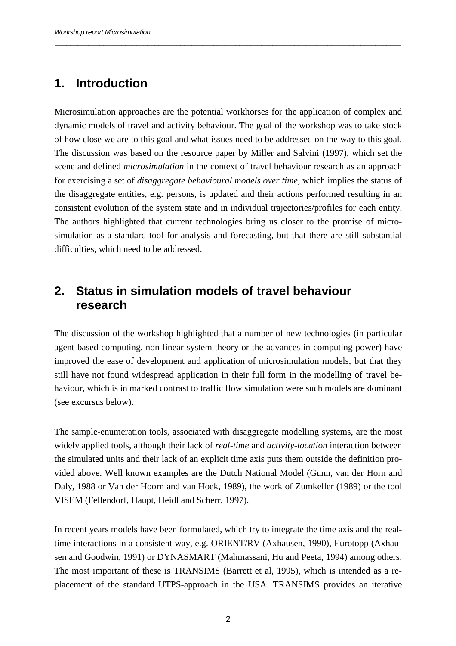#### **1. Introduction**

Microsimulation approaches are the potential workhorses for the application of complex and dynamic models of travel and activity behaviour. The goal of the workshop was to take stock of how close we are to this goal and what issues need to be addressed on the way to this goal. The discussion was based on the resource paper by Miller and Salvini (1997), which set the scene and defined *microsimulation* in the context of travel behaviour research as an approach for exercising a set of *disaggregate behavioural models over time*, which implies the status of the disaggregate entities, e.g. persons, is updated and their actions performed resulting in an consistent evolution of the system state and in individual trajectories/profiles for each entity. The authors highlighted that current technologies bring us closer to the promise of microsimulation as a standard tool for analysis and forecasting, but that there are still substantial difficulties, which need to be addressed.

*\_\_\_\_\_\_\_\_\_\_\_\_\_\_\_\_\_\_\_\_\_\_\_\_\_\_\_\_\_\_\_\_\_\_\_\_\_\_\_\_\_\_\_\_\_\_\_\_\_\_\_\_\_\_\_\_\_\_\_\_\_\_\_\_\_\_\_\_\_\_\_\_\_\_\_\_\_\_\_\_\_\_\_\_\_\_\_\_\_\_\_\_\_\_*

## **2. Status in simulation models of travel behaviour research**

The discussion of the workshop highlighted that a number of new technologies (in particular agent-based computing, non-linear system theory or the advances in computing power) have improved the ease of development and application of microsimulation models, but that they still have not found widespread application in their full form in the modelling of travel behaviour, which is in marked contrast to traffic flow simulation were such models are dominant (see excursus below).

The sample-enumeration tools, associated with disaggregate modelling systems, are the most widely applied tools, although their lack of *real-time* and *activity-location* interaction between the simulated units and their lack of an explicit time axis puts them outside the definition provided above. Well known examples are the Dutch National Model (Gunn, van der Horn and Daly, 1988 or Van der Hoorn and van Hoek, 1989), the work of Zumkeller (1989) or the tool VISEM (Fellendorf, Haupt, Heidl and Scherr, 1997).

In recent years models have been formulated, which try to integrate the time axis and the realtime interactions in a consistent way, e.g. ORIENT/RV (Axhausen, 1990), Eurotopp (Axhausen and Goodwin, 1991) or DYNASMART (Mahmassani, Hu and Peeta, 1994) among others. The most important of these is TRANSIMS (Barrett et al, 1995), which is intended as a replacement of the standard UTPS-approach in the USA. TRANSIMS provides an iterative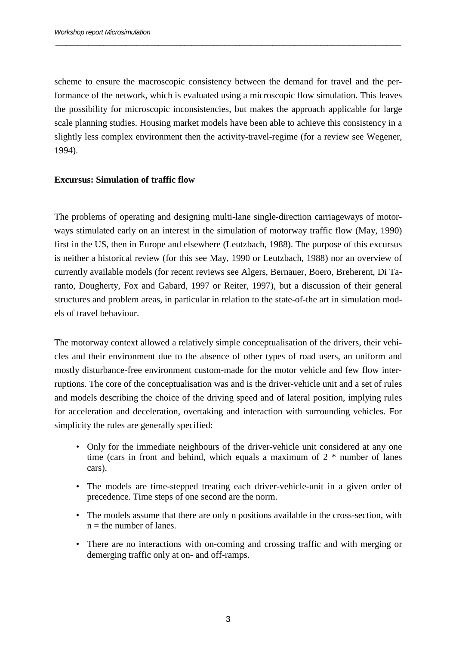scheme to ensure the macroscopic consistency between the demand for travel and the performance of the network, which is evaluated using a microscopic flow simulation. This leaves the possibility for microscopic inconsistencies, but makes the approach applicable for large scale planning studies. Housing market models have been able to achieve this consistency in a slightly less complex environment then the activity-travel-regime (for a review see Wegener, 1994).

*\_\_\_\_\_\_\_\_\_\_\_\_\_\_\_\_\_\_\_\_\_\_\_\_\_\_\_\_\_\_\_\_\_\_\_\_\_\_\_\_\_\_\_\_\_\_\_\_\_\_\_\_\_\_\_\_\_\_\_\_\_\_\_\_\_\_\_\_\_\_\_\_\_\_\_\_\_\_\_\_\_\_\_\_\_\_\_\_\_\_\_\_\_\_*

#### **Excursus: Simulation of traffic flow**

The problems of operating and designing multi-lane single-direction carriageways of motorways stimulated early on an interest in the simulation of motorway traffic flow (May, 1990) first in the US, then in Europe and elsewhere (Leutzbach, 1988). The purpose of this excursus is neither a historical review (for this see May, 1990 or Leutzbach, 1988) nor an overview of currently available models (for recent reviews see Algers, Bernauer, Boero, Breherent, Di Taranto, Dougherty, Fox and Gabard, 1997 or Reiter, 1997), but a discussion of their general structures and problem areas, in particular in relation to the state-of-the art in simulation models of travel behaviour.

The motorway context allowed a relatively simple conceptualisation of the drivers, their vehicles and their environment due to the absence of other types of road users, an uniform and mostly disturbance-free environment custom-made for the motor vehicle and few flow interruptions. The core of the conceptualisation was and is the driver-vehicle unit and a set of rules and models describing the choice of the driving speed and of lateral position, implying rules for acceleration and deceleration, overtaking and interaction with surrounding vehicles. For simplicity the rules are generally specified:

- Only for the immediate neighbours of the driver-vehicle unit considered at any one time (cars in front and behind, which equals a maximum of  $2 *$  number of lanes cars).
- The models are time-stepped treating each driver-vehicle-unit in a given order of precedence. Time steps of one second are the norm.
- The models assume that there are only n positions available in the cross-section, with  $n =$  the number of lanes.
- There are no interactions with on-coming and crossing traffic and with merging or demerging traffic only at on- and off-ramps.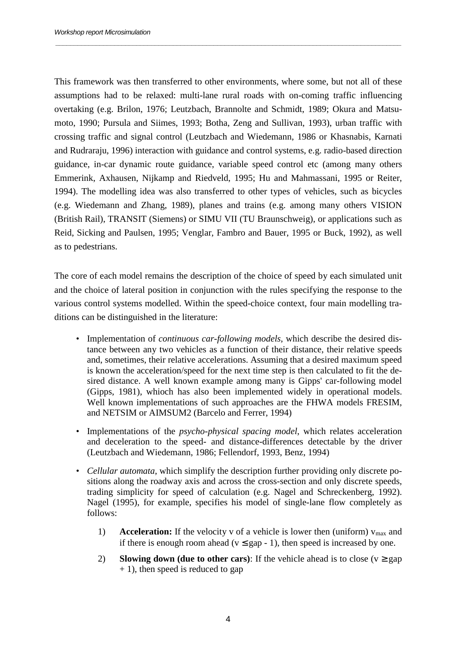This framework was then transferred to other environments, where some, but not all of these assumptions had to be relaxed: multi-lane rural roads with on-coming traffic influencing overtaking (e.g. Brilon, 1976; Leutzbach, Brannolte and Schmidt, 1989; Okura and Matsumoto, 1990; Pursula and Siimes, 1993; Botha, Zeng and Sullivan, 1993), urban traffic with crossing traffic and signal control (Leutzbach and Wiedemann, 1986 or Khasnabis, Karnati and Rudraraju, 1996) interaction with guidance and control systems, e.g. radio-based direction guidance, in-car dynamic route guidance, variable speed control etc (among many others Emmerink, Axhausen, Nijkamp and Riedveld, 1995; Hu and Mahmassani, 1995 or Reiter, 1994). The modelling idea was also transferred to other types of vehicles, such as bicycles (e.g. Wiedemann and Zhang, 1989), planes and trains (e.g. among many others VISION (British Rail), TRANSIT (Siemens) or SIMU VII (TU Braunschweig), or applications such as Reid, Sicking and Paulsen, 1995; Venglar, Fambro and Bauer, 1995 or Buck, 1992), as well as to pedestrians.

*\_\_\_\_\_\_\_\_\_\_\_\_\_\_\_\_\_\_\_\_\_\_\_\_\_\_\_\_\_\_\_\_\_\_\_\_\_\_\_\_\_\_\_\_\_\_\_\_\_\_\_\_\_\_\_\_\_\_\_\_\_\_\_\_\_\_\_\_\_\_\_\_\_\_\_\_\_\_\_\_\_\_\_\_\_\_\_\_\_\_\_\_\_\_*

The core of each model remains the description of the choice of speed by each simulated unit and the choice of lateral position in conjunction with the rules specifying the response to the various control systems modelled. Within the speed-choice context, four main modelling traditions can be distinguished in the literature:

- Implementation of *continuous car-following models*, which describe the desired distance between any two vehicles as a function of their distance, their relative speeds and, sometimes, their relative accelerations. Assuming that a desired maximum speed is known the acceleration/speed for the next time step is then calculated to fit the desired distance. A well known example among many is Gipps' car-following model (Gipps, 1981), whioch has also been implemented widely in operational models. Well known implementations of such approaches are the FHWA models FRESIM, and NETSIM or AIMSUM2 (Barcelo and Ferrer, 1994)
- Implementations of the *psycho-physical spacing model*, which relates acceleration and deceleration to the speed- and distance-differences detectable by the driver (Leutzbach and Wiedemann, 1986; Fellendorf, 1993, Benz, 1994)
- *Cellular automata*, which simplify the description further providing only discrete positions along the roadway axis and across the cross-section and only discrete speeds, trading simplicity for speed of calculation (e.g. Nagel and Schreckenberg, 1992). Nagel (1995), for example, specifies his model of single-lane flow completely as follows:
	- 1) **Acceleration:** If the velocity v of a vehicle is lower then (uniform)  $v_{\text{max}}$  and if there is enough room ahead ( $v \leq gap - 1$ ), then speed is increased by one.
	- 2) **Slowing down (due to other cars)**: If the vehicle ahead is to close ( $v \geq$  gap  $+ 1$ ), then speed is reduced to gap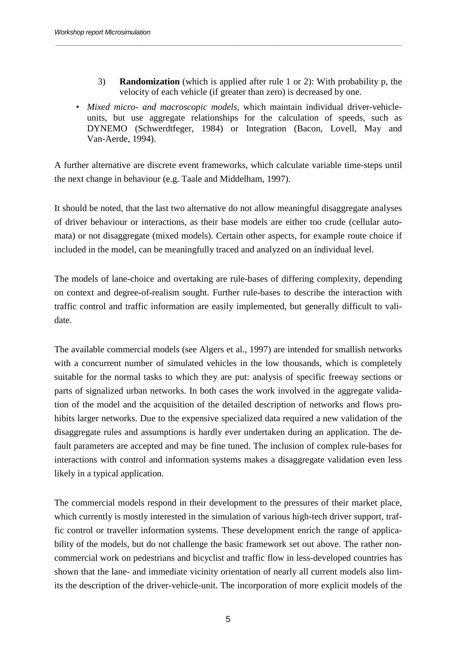- 3) **Randomization** (which is applied after rule 1 or 2): With probability p, the velocity of each vehicle (if greater than zero) is decreased by one.
- *Mixed micro- and macroscopic models*, which maintain individual driver-vehicleunits, but use aggregate relationships for the calculation of speeds, such as DYNEMO (Schwerdtfeger, 1984) or Integration (Bacon, Lovell, May and Van-Aerde, 1994).

A further alternative are discrete event frameworks, which calculate variable time-steps until the next change in behaviour (e.g. Taale and Middelham, 1997).

*\_\_\_\_\_\_\_\_\_\_\_\_\_\_\_\_\_\_\_\_\_\_\_\_\_\_\_\_\_\_\_\_\_\_\_\_\_\_\_\_\_\_\_\_\_\_\_\_\_\_\_\_\_\_\_\_\_\_\_\_\_\_\_\_\_\_\_\_\_\_\_\_\_\_\_\_\_\_\_\_\_\_\_\_\_\_\_\_\_\_\_\_\_\_*

It should be noted, that the last two alternative do not allow meaningful disaggregate analyses of driver behaviour or interactions, as their base models are either too crude (cellular automata) or not disaggregate (mixed models). Certain other aspects, for example route choice if included in the model, can be meaningfully traced and analyzed on an individual level.

The models of lane-choice and overtaking are rule-bases of differing complexity, depending on context and degree-of-realism sought. Further rule-bases to describe the interaction with traffic control and traffic information are easily implemented, but generally difficult to validate.

The available commercial models (see Algers et al., 1997) are intended for smallish networks with a concurrent number of simulated vehicles in the low thousands, which is completely suitable for the normal tasks to which they are put: analysis of specific freeway sections or parts of signalized urban networks. In both cases the work involved in the aggregate validation of the model and the acquisition of the detailed description of networks and flows prohibits larger networks. Due to the expensive specialized data required a new validation of the disaggregate rules and assumptions is hardly ever undertaken during an application. The default parameters are accepted and may be fine tuned. The inclusion of complex rule-bases for interactions with control and information systems makes a disaggregate validation even less likely in a typical application.

The commercial models respond in their development to the pressures of their market place, which currently is mostly interested in the simulation of various high-tech driver support, traffic control or traveller information systems. These development enrich the range of applicability of the models, but do not challenge the basic framework set out above. The rather noncommercial work on pedestrians and bicyclist and traffic flow in less-developed countries has shown that the lane- and immediate vicinity orientation of nearly all current models also limits the description of the driver-vehicle-unit. The incorporation of more explicit models of the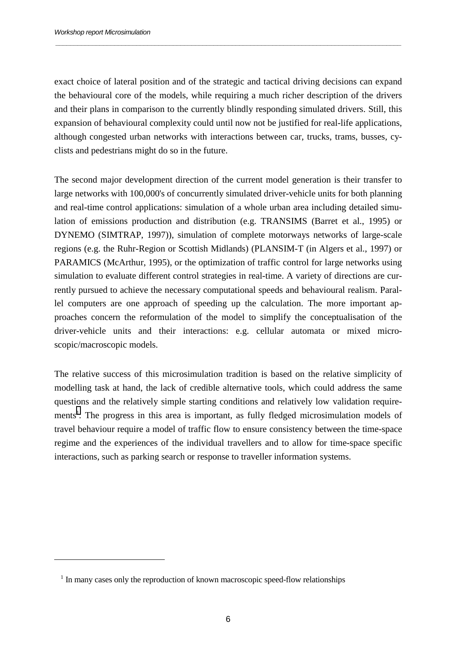exact choice of lateral position and of the strategic and tactical driving decisions can expand the behavioural core of the models, while requiring a much richer description of the drivers and their plans in comparison to the currently blindly responding simulated drivers. Still, this expansion of behavioural complexity could until now not be justified for real-life applications, although congested urban networks with interactions between car, trucks, trams, busses, cyclists and pedestrians might do so in the future.

*\_\_\_\_\_\_\_\_\_\_\_\_\_\_\_\_\_\_\_\_\_\_\_\_\_\_\_\_\_\_\_\_\_\_\_\_\_\_\_\_\_\_\_\_\_\_\_\_\_\_\_\_\_\_\_\_\_\_\_\_\_\_\_\_\_\_\_\_\_\_\_\_\_\_\_\_\_\_\_\_\_\_\_\_\_\_\_\_\_\_\_\_\_\_*

The second major development direction of the current model generation is their transfer to large networks with 100,000's of concurrently simulated driver-vehicle units for both planning and real-time control applications: simulation of a whole urban area including detailed simulation of emissions production and distribution (e.g. TRANSIMS (Barret et al., 1995) or DYNEMO (SIMTRAP, 1997)), simulation of complete motorways networks of large-scale regions (e.g. the Ruhr-Region or Scottish Midlands) (PLANSIM-T (in Algers et al., 1997) or PARAMICS (McArthur, 1995), or the optimization of traffic control for large networks using simulation to evaluate different control strategies in real-time. A variety of directions are currently pursued to achieve the necessary computational speeds and behavioural realism. Parallel computers are one approach of speeding up the calculation. The more important approaches concern the reformulation of the model to simplify the conceptualisation of the driver-vehicle units and their interactions: e.g. cellular automata or mixed microscopic/macroscopic models.

The relative success of this microsimulation tradition is based on the relative simplicity of modelling task at hand, the lack of credible alternative tools, which could address the same questions and the relatively simple starting conditions and relatively low validation requirements<sup>1</sup>. The progress in this area is important, as fully fledged microsimulation models of travel behaviour require a model of traffic flow to ensure consistency between the time-space regime and the experiences of the individual travellers and to allow for time-space specific interactions, such as parking search or response to traveller information systems.

 $\overline{a}$ 

<sup>&</sup>lt;sup>1</sup> In many cases only the reproduction of known macroscopic speed-flow relationships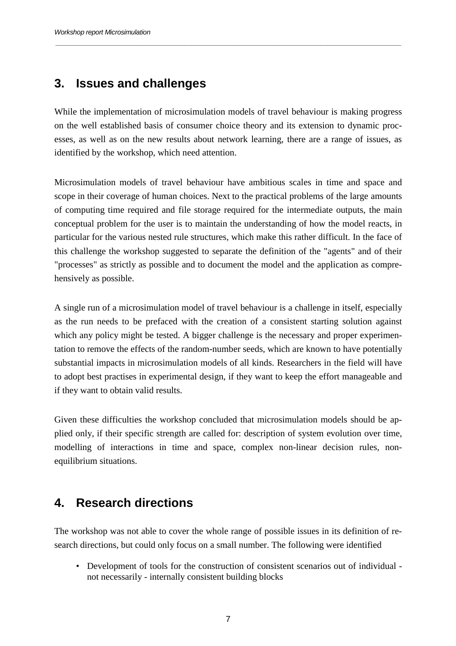#### **3. Issues and challenges**

While the implementation of microsimulation models of travel behaviour is making progress on the well established basis of consumer choice theory and its extension to dynamic processes, as well as on the new results about network learning, there are a range of issues, as identified by the workshop, which need attention.

*\_\_\_\_\_\_\_\_\_\_\_\_\_\_\_\_\_\_\_\_\_\_\_\_\_\_\_\_\_\_\_\_\_\_\_\_\_\_\_\_\_\_\_\_\_\_\_\_\_\_\_\_\_\_\_\_\_\_\_\_\_\_\_\_\_\_\_\_\_\_\_\_\_\_\_\_\_\_\_\_\_\_\_\_\_\_\_\_\_\_\_\_\_\_*

Microsimulation models of travel behaviour have ambitious scales in time and space and scope in their coverage of human choices. Next to the practical problems of the large amounts of computing time required and file storage required for the intermediate outputs, the main conceptual problem for the user is to maintain the understanding of how the model reacts, in particular for the various nested rule structures, which make this rather difficult. In the face of this challenge the workshop suggested to separate the definition of the "agents" and of their "processes" as strictly as possible and to document the model and the application as comprehensively as possible.

A single run of a microsimulation model of travel behaviour is a challenge in itself, especially as the run needs to be prefaced with the creation of a consistent starting solution against which any policy might be tested. A bigger challenge is the necessary and proper experimentation to remove the effects of the random-number seeds, which are known to have potentially substantial impacts in microsimulation models of all kinds. Researchers in the field will have to adopt best practises in experimental design, if they want to keep the effort manageable and if they want to obtain valid results.

Given these difficulties the workshop concluded that microsimulation models should be applied only, if their specific strength are called for: description of system evolution over time, modelling of interactions in time and space, complex non-linear decision rules, nonequilibrium situations.

## **4. Research directions**

The workshop was not able to cover the whole range of possible issues in its definition of research directions, but could only focus on a small number. The following were identified

• Development of tools for the construction of consistent scenarios out of individual not necessarily - internally consistent building blocks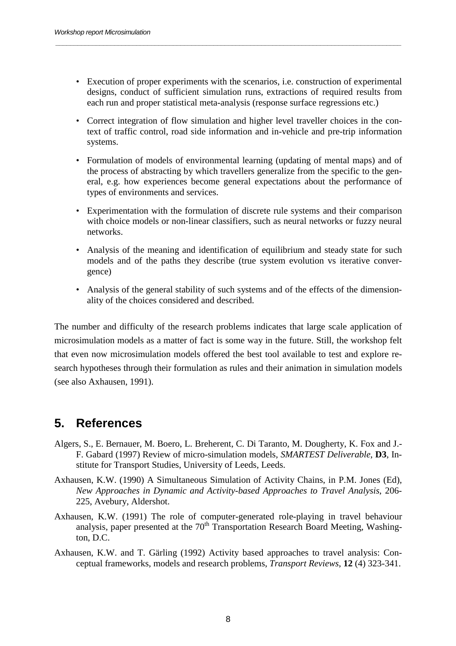• Execution of proper experiments with the scenarios, i.e. construction of experimental designs, conduct of sufficient simulation runs, extractions of required results from each run and proper statistical meta-analysis (response surface regressions etc.)

*\_\_\_\_\_\_\_\_\_\_\_\_\_\_\_\_\_\_\_\_\_\_\_\_\_\_\_\_\_\_\_\_\_\_\_\_\_\_\_\_\_\_\_\_\_\_\_\_\_\_\_\_\_\_\_\_\_\_\_\_\_\_\_\_\_\_\_\_\_\_\_\_\_\_\_\_\_\_\_\_\_\_\_\_\_\_\_\_\_\_\_\_\_\_*

- Correct integration of flow simulation and higher level traveller choices in the context of traffic control, road side information and in-vehicle and pre-trip information systems.
- Formulation of models of environmental learning (updating of mental maps) and of the process of abstracting by which travellers generalize from the specific to the general, e.g. how experiences become general expectations about the performance of types of environments and services.
- Experimentation with the formulation of discrete rule systems and their comparison with choice models or non-linear classifiers, such as neural networks or fuzzy neural networks.
- Analysis of the meaning and identification of equilibrium and steady state for such models and of the paths they describe (true system evolution vs iterative convergence)
- Analysis of the general stability of such systems and of the effects of the dimensionality of the choices considered and described.

The number and difficulty of the research problems indicates that large scale application of microsimulation models as a matter of fact is some way in the future. Still, the workshop felt that even now microsimulation models offered the best tool available to test and explore research hypotheses through their formulation as rules and their animation in simulation models (see also Axhausen, 1991).

## **5. References**

- Algers, S., E. Bernauer, M. Boero, L. Breherent, C. Di Taranto, M. Dougherty, K. Fox and J.- F. Gabard (1997) Review of micro-simulation models, *SMARTEST Deliverable*, **D3**, Institute for Transport Studies, University of Leeds, Leeds.
- Axhausen, K.W. (1990) A Simultaneous Simulation of Activity Chains, in P.M. Jones (Ed), *New Approaches in Dynamic and Activity-based Approaches to Travel Analysis*, 206- 225, Avebury, Aldershot.
- Axhausen, K.W. (1991) The role of computer-generated role-playing in travel behaviour analysis, paper presented at the  $70<sup>th</sup>$  Transportation Research Board Meeting, Washington, D.C.
- Axhausen, K.W. and T. Gärling (1992) Activity based approaches to travel analysis: Conceptual frameworks, models and research problems, *Transport Reviews*, **12** (4) 323-341.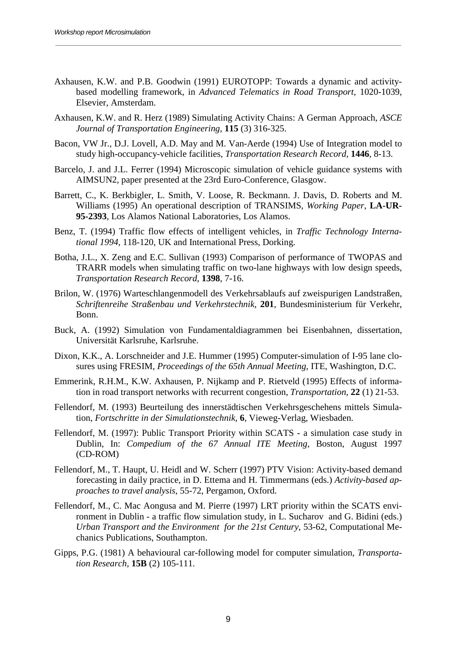Axhausen, K.W. and P.B. Goodwin (1991) EUROTOPP: Towards a dynamic and activitybased modelling framework, in *Advanced Telematics in Road Transport*, 1020-1039, Elsevier, Amsterdam.

*\_\_\_\_\_\_\_\_\_\_\_\_\_\_\_\_\_\_\_\_\_\_\_\_\_\_\_\_\_\_\_\_\_\_\_\_\_\_\_\_\_\_\_\_\_\_\_\_\_\_\_\_\_\_\_\_\_\_\_\_\_\_\_\_\_\_\_\_\_\_\_\_\_\_\_\_\_\_\_\_\_\_\_\_\_\_\_\_\_\_\_\_\_\_*

- Axhausen, K.W. and R. Herz (1989) Simulating Activity Chains: A German Approach, *ASCE Journal of Transportation Engineering*, **115** (3) 316-325.
- Bacon, VW Jr., D.J. Lovell, A.D. May and M. Van-Aerde (1994) Use of Integration model to study high-occupancy-vehicle facilities, *Transportation Research Record*, **1446**, 8-13.
- Barcelo, J. and J.L. Ferrer (1994) Microscopic simulation of vehicle guidance systems with AIMSUN2, paper presented at the 23rd Euro-Conference, Glasgow.
- Barrett, C., K. Berkbigler, L. Smith, V. Loose, R. Beckmann. J. Davis, D. Roberts and M. Williams (1995) An operational description of TRANSIMS, *Working Paper*, **LA-UR-95-2393**, Los Alamos National Laboratories, Los Alamos.
- Benz, T. (1994) Traffic flow effects of intelligent vehicles, in *Traffic Technology International 1994,* 118-120, UK and International Press, Dorking.
- Botha, J.L., X. Zeng and E.C. Sullivan (1993) Comparison of performance of TWOPAS and TRARR models when simulating traffic on two-lane highways with low design speeds, *Transportation Research Record*, **1398**, 7-16.
- Brilon, W. (1976) Warteschlangenmodell des Verkehrsablaufs auf zweispurigen Landstraßen, *Schriftenreihe Straßenbau und Verkehrstechnik*, **201**, Bundesministerium für Verkehr, Bonn.
- Buck, A. (1992) Simulation von Fundamentaldiagrammen bei Eisenbahnen, dissertation, Universität Karlsruhe, Karlsruhe.
- Dixon, K.K., A. Lorschneider and J.E. Hummer (1995) Computer-simulation of I-95 lane closures using FRESIM, *Proceedings of the 65th Annual Meeting*, ITE, Washington, D.C.
- Emmerink, R.H.M., K.W. Axhausen, P. Nijkamp and P. Rietveld (1995) Effects of information in road transport networks with recurrent congestion, *Transportation*, **22** (1) 21-53.
- Fellendorf, M. (1993) Beurteilung des innerstädtischen Verkehrsgeschehens mittels Simulation, *Fortschritte in der Simulationstechnik*, **6**, Vieweg-Verlag, Wiesbaden.
- Fellendorf, M. (1997): Public Transport Priority within SCATS a simulation case study in Dublin, In: *Compedium of the 67 Annual ITE Meeting*, Boston, August 1997 (CD-ROM)
- Fellendorf, M., T. Haupt, U. Heidl and W. Scherr (1997) PTV Vision: Activity-based demand forecasting in daily practice, in D. Ettema and H. Timmermans (eds.) *Activity-based approaches to travel analysis*, 55-72, Pergamon, Oxford.
- Fellendorf, M., C. Mac Aongusa and M. Pierre (1997) LRT priority within the SCATS environment in Dublin - a traffic flow simulation study, in L. Sucharov and G. Bidini (eds.) *Urban Transport and the Environment for the 21st Century*, 53-62, Computational Mechanics Publications, Southampton.
- Gipps, P.G. (1981) A behavioural car-following model for computer simulation, *Transportation Research*, **15B** (2) 105-111.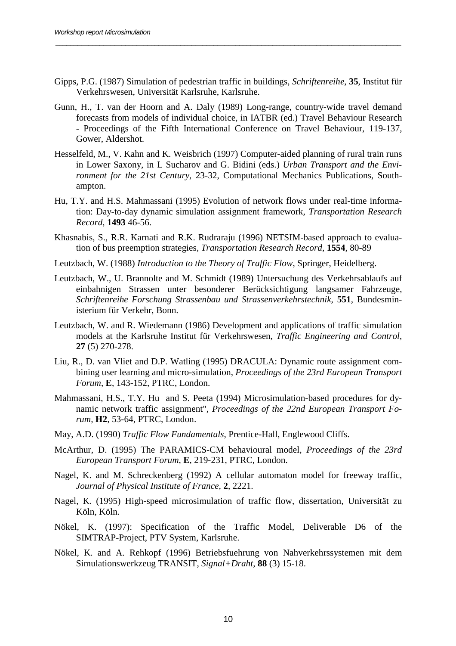Gipps, P.G. (1987) Simulation of pedestrian traffic in buildings, *Schriftenreihe*, **35**, Institut für Verkehrswesen, Universität Karlsruhe, Karlsruhe.

*\_\_\_\_\_\_\_\_\_\_\_\_\_\_\_\_\_\_\_\_\_\_\_\_\_\_\_\_\_\_\_\_\_\_\_\_\_\_\_\_\_\_\_\_\_\_\_\_\_\_\_\_\_\_\_\_\_\_\_\_\_\_\_\_\_\_\_\_\_\_\_\_\_\_\_\_\_\_\_\_\_\_\_\_\_\_\_\_\_\_\_\_\_\_*

- Gunn, H., T. van der Hoorn and A. Daly (1989) Long-range, country-wide travel demand forecasts from models of individual choice, in IATBR (ed.) Travel Behaviour Research - Proceedings of the Fifth International Conference on Travel Behaviour, 119-137, Gower, Aldershot.
- Hesselfeld, M., V. Kahn and K. Weisbrich (1997) Computer-aided planning of rural train runs in Lower Saxony, in L Sucharov and G. Bidini (eds.) *Urban Transport and the Environment for the 21st Century*, 23-32, Computational Mechanics Publications, Southampton.
- Hu, T.Y. and H.S. Mahmassani (1995) Evolution of network flows under real-time information: Day-to-day dynamic simulation assignment framework, *Transportation Research Record*, **1493** 46-56.
- Khasnabis, S., R.R. Karnati and R.K. Rudraraju (1996) NETSIM-based approach to evaluation of bus preemption strategies, *Transportation Research Record*, **1554**, 80-89
- Leutzbach, W. (1988) *Introduction to the Theory of Traffic Flow*, Springer, Heidelberg.
- Leutzbach, W., U. Brannolte and M. Schmidt (1989) Untersuchung des Verkehrsablaufs auf einbahnigen Strassen unter besonderer Berücksichtigung langsamer Fahrzeuge, *Schriftenreihe Forschung Strassenbau und Strassenverkehrstechnik*, **551**, Bundesministerium für Verkehr, Bonn.
- Leutzbach, W. and R. Wiedemann (1986) Development and applications of traffic simulation models at the Karlsruhe Institut für Verkehrswesen, *Traffic Engineering and Control*, **27** (5) 270-278.
- Liu, R., D. van Vliet and D.P. Watling (1995) DRACULA: Dynamic route assignment combining user learning and micro-simulation, *Proceedings of the 23rd European Transport Forum*, **E**, 143-152, PTRC, London.
- Mahmassani, H.S., T.Y. Hu and S. Peeta (1994) Microsimulation-based procedures for dynamic network traffic assignment", *Proceedings of the 22nd European Transport Forum,* **H2**, 53-64, PTRC, London.
- May, A.D. (1990) *Traffic Flow Fundamentals*, Prentice-Hall, Englewood Cliffs.
- McArthur, D. (1995) The PARAMICS-CM behavioural model, *Proceedings of the 23rd European Transport Forum*, **E**, 219-231, PTRC, London.
- Nagel, K. and M. Schreckenberg (1992) A cellular automaton model for freeway traffic, *Journal of Physical Institute of France,* **2**, 2221.
- Nagel, K. (1995) High-speed microsimulation of traffic flow, dissertation, Universität zu Köln, Köln.
- Nökel, K. (1997): Specification of the Traffic Model, Deliverable D6 of the SIMTRAP-Project, PTV System, Karlsruhe.
- Nökel, K. and A. Rehkopf (1996) Betriebsfuehrung von Nahverkehrssystemen mit dem Simulationswerkzeug TRANSIT, *Signal+Draht*, **88** (3) 15-18.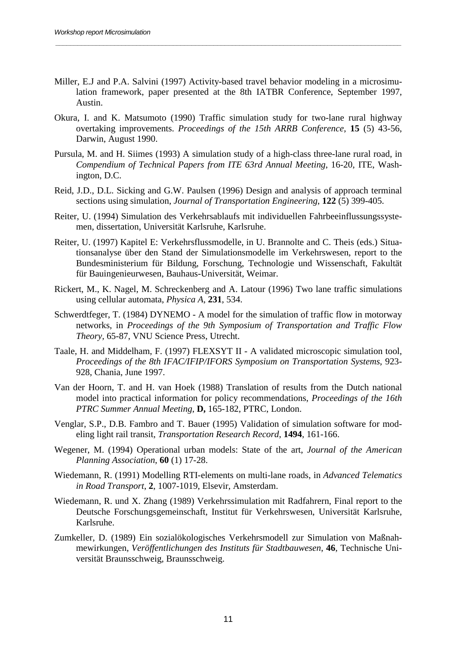Miller, E.J and P.A. Salvini (1997) Activity-based travel behavior modeling in a microsimulation framework, paper presented at the 8th IATBR Conference, September 1997, Austin.

*\_\_\_\_\_\_\_\_\_\_\_\_\_\_\_\_\_\_\_\_\_\_\_\_\_\_\_\_\_\_\_\_\_\_\_\_\_\_\_\_\_\_\_\_\_\_\_\_\_\_\_\_\_\_\_\_\_\_\_\_\_\_\_\_\_\_\_\_\_\_\_\_\_\_\_\_\_\_\_\_\_\_\_\_\_\_\_\_\_\_\_\_\_\_*

- Okura, I. and K. Matsumoto (1990) Traffic simulation study for two-lane rural highway overtaking improvements. *Proceedings of the 15th ARRB Conference*, **15** (5) 43-56, Darwin, August 1990.
- Pursula, M. and H. Siimes (1993) A simulation study of a high-class three-lane rural road, in *Compendium of Technical Papers from ITE 63rd Annual Meeting*, 16-20, ITE, Washington, D.C.
- Reid, J.D., D.L. Sicking and G.W. Paulsen (1996) Design and analysis of approach terminal sections using simulation, *Journal of Transportation Engineering*, **122** (5) 399-405.
- Reiter, U. (1994) Simulation des Verkehrsablaufs mit individuellen Fahrbeeinflussungssystemen, dissertation, Universität Karlsruhe, Karlsruhe.
- Reiter, U. (1997) Kapitel E: Verkehrsflussmodelle, in U. Brannolte and C. Theis (eds.) Situationsanalyse über den Stand der Simulationsmodelle im Verkehrswesen, report to the Bundesministerium für Bildung, Forschung, Technologie und Wissenschaft, Fakultät für Bauingenieurwesen, Bauhaus-Universität, Weimar.
- Rickert, M., K. Nagel, M. Schreckenberg and A. Latour (1996) Two lane traffic simulations using cellular automata, *Physica A*, **231**, 534.
- Schwerdtfeger, T. (1984) DYNEMO A model for the simulation of traffic flow in motorway networks, in *Proceedings of the 9th Symposium of Transportation and Traffic Flow Theory,* 65-87, VNU Science Press, Utrecht.
- Taale, H. and Middelham, F. (1997) FLEXSYT II A validated microscopic simulation tool, *Proceedings of the 8th IFAC/IFIP/IFORS Symposium on Transportation Systems*, 923- 928, Chania, June 1997.
- Van der Hoorn, T. and H. van Hoek (1988) Translation of results from the Dutch national model into practical information for policy recommendations, *Proceedings of the 16th PTRC Summer Annual Meeting*, **D,** 165-182, PTRC, London.
- Venglar, S.P., D.B. Fambro and T. Bauer (1995) Validation of simulation software for modeling light rail transit, *Transportation Research Record*, **1494**, 161-166.
- Wegener, M. (1994) Operational urban models: State of the art, *Journal of the American Planning Association*, **60** (1) 17-28.
- Wiedemann, R. (1991) Modelling RTI-elements on multi-lane roads, in *Advanced Telematics in Road Transport*, **2**, 1007-1019, Elsevir, Amsterdam.
- Wiedemann, R. und X. Zhang (1989) Verkehrssimulation mit Radfahrern, Final report to the Deutsche Forschungsgemeinschaft, Institut für Verkehrswesen, Universität Karlsruhe, Karlsruhe.
- Zumkeller, D. (1989) Ein sozialökologisches Verkehrsmodell zur Simulation von Maßnahmewirkungen, *Veröffentlichungen des Instituts für Stadtbauwesen*, **46**, Technische Universität Braunsschweig, Braunsschweig.